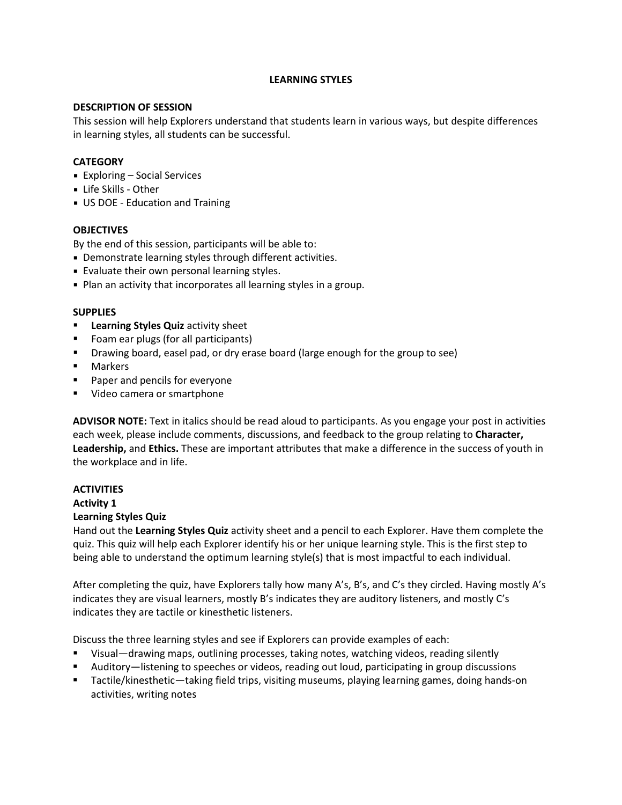#### **LEARNING STYLES**

#### **DESCRIPTION OF SESSION**

This session will help Explorers understand that students learn in various ways, but despite differences in learning styles, all students can be successful.

## **CATEGORY**

- Exploring Social Services
- Life Skills Other
- **US DOE Education and Training**

## **OBJECTIVES**

By the end of this session, participants will be able to:

- Demonstrate learning styles through different activities.
- Evaluate their own personal learning styles.
- Plan an activity that incorporates all learning styles in a group.

#### **SUPPLIES**

- **Learning Styles Quiz** activity sheet
- Foam ear plugs (for all participants)
- Drawing board, easel pad, or dry erase board (large enough for the group to see)
- **Narkers**
- Paper and pencils for everyone
- **Video camera or smartphone**

**ADVISOR NOTE:** Text in italics should be read aloud to participants. As you engage your post in activities each week, please include comments, discussions, and feedback to the group relating to **Character, Leadership,** and **Ethics.** These are important attributes that make a difference in the success of youth in the workplace and in life.

# **ACTIVITIES**

#### **Activity 1**

## **Learning Styles Quiz**

Hand out the **Learning Styles Quiz** activity sheet and a pencil to each Explorer. Have them complete the quiz. This quiz will help each Explorer identify his or her unique learning style. This is the first step to being able to understand the optimum learning style(s) that is most impactful to each individual.

After completing the quiz, have Explorers tally how many A's, B's, and C's they circled. Having mostly A's indicates they are visual learners, mostly B's indicates they are auditory listeners, and mostly C's indicates they are tactile or kinesthetic listeners.

Discuss the three learning styles and see if Explorers can provide examples of each:

- Visual—drawing maps, outlining processes, taking notes, watching videos, reading silently
- Auditory—listening to speeches or videos, reading out loud, participating in group discussions
- Tactile/kinesthetic—taking field trips, visiting museums, playing learning games, doing hands-on activities, writing notes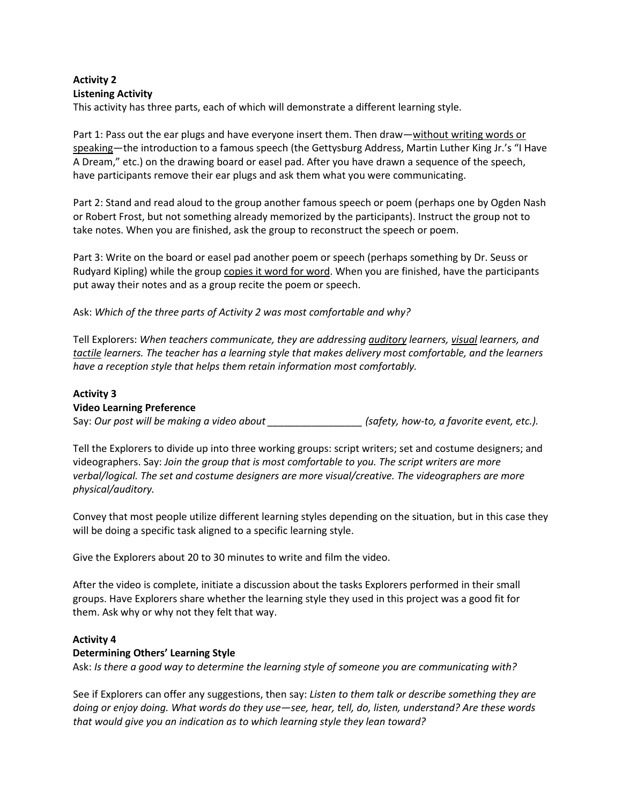# **Activity 2 Listening Activity**

This activity has three parts, each of which will demonstrate a different learning style.

Part 1: Pass out the ear plugs and have everyone insert them. Then draw—without writing words or speaking—the introduction to a famous speech (the Gettysburg Address, Martin Luther King Jr.'s "I Have A Dream," etc.) on the drawing board or easel pad. After you have drawn a sequence of the speech, have participants remove their ear plugs and ask them what you were communicating.

Part 2: Stand and read aloud to the group another famous speech or poem (perhaps one by Ogden Nash or Robert Frost, but not something already memorized by the participants). Instruct the group not to take notes. When you are finished, ask the group to reconstruct the speech or poem.

Part 3: Write on the board or easel pad another poem or speech (perhaps something by Dr. Seuss or Rudyard Kipling) while the group copies it word for word. When you are finished, have the participants put away their notes and as a group recite the poem or speech.

Ask: *Which of the three parts of Activity 2 was most comfortable and why?*

Tell Explorers: *When teachers communicate, they are addressing auditory learners, visual learners, and tactile learners. The teacher has a learning style that makes delivery most comfortable, and the learners have a reception style that helps them retain information most comfortably.*

## **Activity 3**

## **Video Learning Preference**

Say: *Our post will be making a video about \_\_\_\_\_\_\_\_\_\_\_\_\_\_\_\_\_ (safety, how-to, a favorite event, etc.).*

Tell the Explorers to divide up into three working groups: script writers; set and costume designers; and videographers. Say: *Join the group that is most comfortable to you. The script writers are more verbal/logical. The set and costume designers are more visual/creative. The videographers are more physical/auditory.*

Convey that most people utilize different learning styles depending on the situation, but in this case they will be doing a specific task aligned to a specific learning style.

Give the Explorers about 20 to 30 minutes to write and film the video.

After the video is complete, initiate a discussion about the tasks Explorers performed in their small groups. Have Explorers share whether the learning style they used in this project was a good fit for them. Ask why or why not they felt that way.

## **Activity 4**

## **Determining Others' Learning Style**

Ask: *Is there a good way to determine the learning style of someone you are communicating with?*

See if Explorers can offer any suggestions, then say: *Listen to them talk or describe something they are doing or enjoy doing. What words do they use—see, hear, tell, do, listen, understand? Are these words that would give you an indication as to which learning style they lean toward?*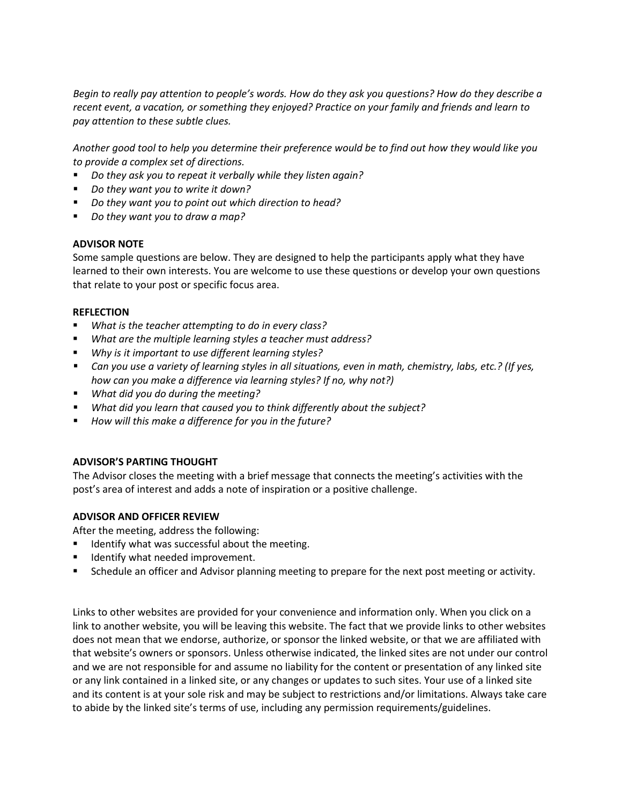Begin to really pay attention to people's words. How do they ask you questions? How do they describe a *recent event, a vacation, or something they enjoyed? Practice on your family and friends and learn to pay attention to these subtle clues.*

Another good tool to help you determine their preference would be to find out how they would like you *to provide a complex set of directions.*

- *Do they ask you to repeat it verbally while they listen again?*
- *Do they want you to write it down?*
- *Do they want you to point out which direction to head?*
- *Do they want you to draw a map?*

## **ADVISOR NOTE**

Some sample questions are below. They are designed to help the participants apply what they have learned to their own interests. You are welcome to use these questions or develop your own questions that relate to your post or specific focus area.

#### **REFLECTION**

- *What is the teacher attempting to do in every class?*
- *What are the multiple learning styles a teacher must address?*
- *Why is it important to use different learning styles?*
- Can you use a variety of learning styles in all situations, even in math, chemistry, labs, etc.? (If yes, *how can you make a difference via learning styles? If no, why not?)*
- *What did you do during the meeting?*
- *What did you learn that caused you to think differently about the subject?*
- *How will this make a difference for you in the future?*

## **ADVISOR'S PARTING THOUGHT**

The Advisor closes the meeting with a brief message that connects the meeting's activities with the post's area of interest and adds a note of inspiration or a positive challenge.

## **ADVISOR AND OFFICER REVIEW**

After the meeting, address the following:

- **If the Identify what was successful about the meeting.**
- **If Identify what needed improvement.**
- Schedule an officer and Advisor planning meeting to prepare for the next post meeting or activity.

Links to other websites are provided for your convenience and information only. When you click on a link to another website, you will be leaving this website. The fact that we provide links to other websites does not mean that we endorse, authorize, or sponsor the linked website, or that we are affiliated with that website's owners or sponsors. Unless otherwise indicated, the linked sites are not under our control and we are not responsible for and assume no liability for the content or presentation of any linked site or any link contained in a linked site, or any changes or updates to such sites. Your use of a linked site and its content is at your sole risk and may be subject to restrictions and/or limitations. Always take care to abide by the linked site's terms of use, including any permission requirements/guidelines.